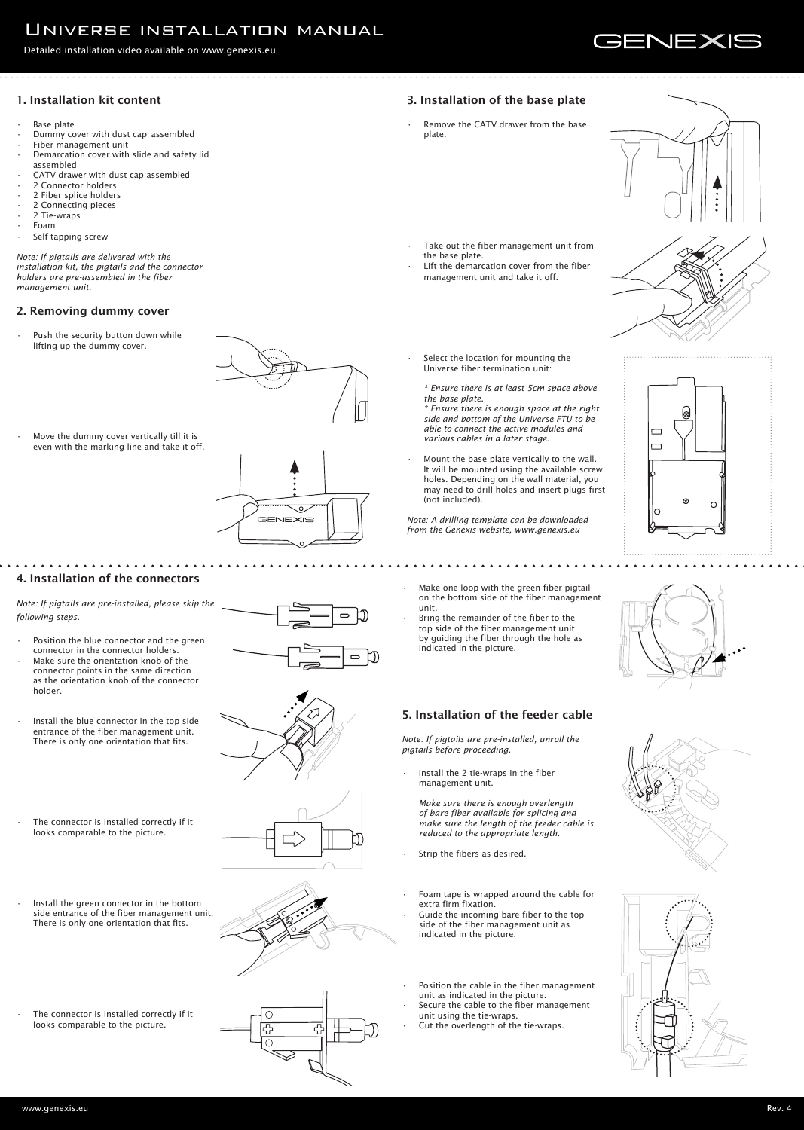# Universe installation manual

#### Detailed installation video available on www.genexis.eu

# **GENEXIS**

## 1. Installation kit content

- **Base plate**
- Dummy cover with dust cap assembled
- Fiber management unit
- Demarcation cover with slide and safety lid assembled
- CATV drawer with dust cap assembled
- 2 Connector holders
- 2 Fiber splice holders
- 2 Connecting pieces
- 2 Tie-wraps
- Foam
- Self tapping screw

Push the security button down while lifting up the dummy cover.



Move the dummy cover vertically till it is even with the marking line and take it off.



*Note: If pigtails are delivered with the installation kit, the pigtails and the connector holders are pre-assembled in the fiber management unit.*

- Make one loop with the green fiber pigtail on the bottom side of the fiber management unit.
- Bring the remainder of the fiber to the top side of the fiber management unit by guiding the fiber through the hole as indicated in the picture.

#### 2. Removing dummy cover

Install the 2 tie-wraps in the fiber management unit.

Remove the CATV drawer from the base plate.



- Take out the fiber management unit from the base plate.
- Lift the demarcation cover from the fiber management unit and take it off.



## 5. Installation of the feeder cable

Select the location for mounting the Universe fiber termination unit:

*Note: If pigtails are pre-installed, unroll the pigtails before proceeding.* 

Mount the base plate vertically to the wall. It will be mounted using the available screw holes. Depending on the wall material, you may need to drill holes and insert plugs first (not included).

*Make sure there is enough overlength of bare fiber available for splicing and make sure the length of the feeder cable is reduced to the appropriate length.*









- Position the blue connector and the green connector in the connector holders.
- Make sure the orientation knob of the connector points in the same direction as the orientation knob of the connector holder.
- Install the blue connector in the top side entrance of the fiber management unit. There is only one orientation that fits.

- Install the green connector in the bottom side entrance of the fiber management unit. There is only one orientation that fits.
	-
- The connector is installed correctly if it looks comparable to the picture.



- Strip the fibers as desired.
- Foam tape is wrapped around the cable for extra firm fixation.
- Guide the incoming bare fiber to the top side of the fiber management unit as indicated in the picture.
- Position the cable in the fiber management unit as indicated in the picture.
- Secure the cable to the fiber management unit using the tie-wraps.
- Cut the overlength of the tie-wraps.



## 3. Installation of the base plate

*\* Ensure there is at least 5cm space above the base plate.*

*\* Ensure there is enough space at the right side and bottom of the Universe FTU to be able to connect the active modules and various cables in a later stage.*

*Note: A drilling template can be downloaded from the Genexis website, www.genexis.eu*

#### 4. Installation of the connectors

#### *Note: If pigtails are pre-installed, please skip the following steps.*